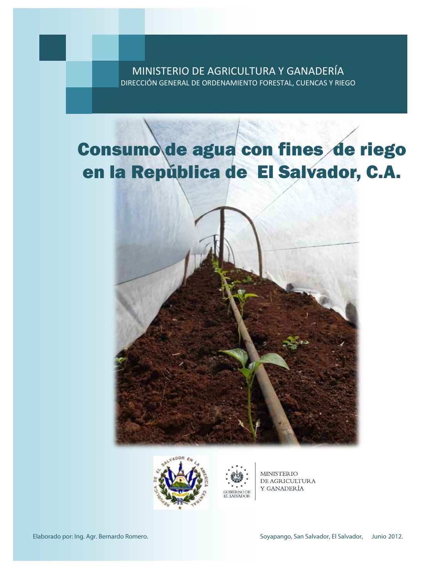## MINISTERIO DE AGRICULTURA Y GANADERÍA DIRECCIÓN GENERAL DE ORDENAMIENTO FORESTAL, CUENCAS Y RIEGO

## Consumo de agua con fines de riego en la República de El Salvador, C.A.



GOBIERNO DE<br>EL SALVADOR



**MINISTERIO** DE AGRICULTURA Y GANADERÍA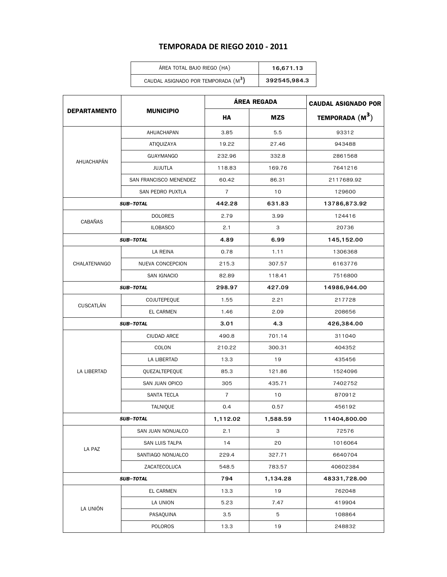## **TEMPORADA DE RIEGO 2010 - 2011**

| ÁREA TOTAL BAJO RIEGO (HA)                      | 16.671.13    |
|-------------------------------------------------|--------------|
| CAUDAL ASIGNADO POR TEMPORADA (M <sup>3</sup> ) | 392545,984.3 |

|                     | <b>MUNICIPIO</b>       | ÁREA REGADA    |            | <b>CAUDAL ASIGNADO POR</b> |  |
|---------------------|------------------------|----------------|------------|----------------------------|--|
| <b>DEPARTAMENTO</b> |                        | HA             | <b>MZS</b> | TEMPORADA $(M^3)$          |  |
|                     | AHUACHAPAN             | 3.85           | 5.5        | 93312                      |  |
|                     | ATIQUIZAYA             | 19.22          | 27.46      | 943488                     |  |
| AHUACHAPÁN          | <b>GUAYMANGO</b>       | 232.96         | 332.8      | 2861568                    |  |
|                     | JUJUTLA                | 118.83         | 169.76     | 7641216                    |  |
|                     | SAN FRANCISCO MENENDEZ | 60.42          | 86.31      | 2117689.92                 |  |
|                     | SAN PEDRO PUXTLA       | $\overline{7}$ | 10         | 129600                     |  |
|                     | <b>SUB-TOTAL</b>       | 442.28         | 631.83     | 13786,873.92               |  |
|                     | <b>DOLORES</b>         | 2.79           | 3.99       | 124416                     |  |
| <b>CABAÑAS</b>      | <b>ILOBASCO</b>        | 2.1            | З          | 20736                      |  |
|                     | <b>SUB-TOTAL</b>       | 4.89           | 6.99       | 145,152.00                 |  |
|                     | LA REINA               | 0.78           | 1.11       | 1306368                    |  |
| CHALATENANGO        | NUEVA CONCEPCION       | 215.3          | 307.57     | 6163776                    |  |
|                     | <b>SAN IGNACIO</b>     | 82.89          | 118.41     | 7516800                    |  |
|                     | <b>SUB-TOTAL</b>       | 298.97         | 427.09     | 14986,944.00               |  |
|                     | COJUTEPEQUE            | 1.55           | 2.21       | 217728                     |  |
| CUSCATLÁN           | EL CARMEN              | 1.46           | 2.09       | 208656                     |  |
|                     | <b>SUB-TOTAL</b>       | 3.01           | 4.3        | 426,384.00                 |  |
|                     | <b>CIUDAD ARCE</b>     | 490.8          | 701.14     | 311040                     |  |
|                     | COLON                  | 210.22         | 300.31     | 404352                     |  |
|                     | LA LIBERTAD            | 13.3           | 19         | 435456                     |  |
| LA LIBERTAD         | QUEZALTEPEQUE          | 85.3           | 121.86     | 1524096                    |  |
|                     | SAN JUAN OPICO         | 305            | 435.71     | 7402752                    |  |
|                     | SANTA TECLA            | $\overline{7}$ | 10         | 870912                     |  |
|                     | TALNIQUE               | 0.4            | 0.57       | 456192                     |  |
|                     | <b>SUB-TOTAL</b>       |                | 1,588.59   | 11404.800.00               |  |
|                     | SAN JUAN NONUALCO      | 2.1            | З          | 72576                      |  |
|                     | SAN LUIS TALPA         | 14             | 20         | 1016064                    |  |
| LA PAZ              | SANTIAGO NONUALCO      | 229.4          | 327.71     | 6640704                    |  |
|                     | ZACATECOLUCA           | 548.5          | 783.57     | 40602384                   |  |
| <b>SUB-TOTAL</b>    |                        | 794            | 1,134.28   | 48331,728.00               |  |
|                     | EL CARMEN              | 13.3           | 19         | 762048                     |  |
|                     | LA UNION               | 5.23           | 7.47       | 419904                     |  |
| LA UNIÓN            | PASAQUINA              | 3.5            | 5          | 108864                     |  |
|                     | POLOROS                | 13.3           | 19         | 248832                     |  |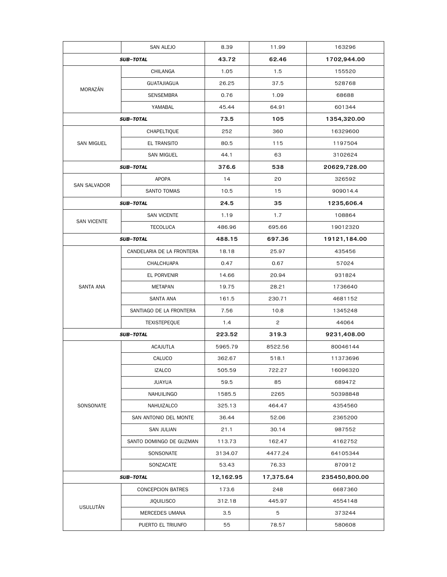|                     | <b>SAN ALEJO</b>          | 8.39      | 11.99     | 163296        |
|---------------------|---------------------------|-----------|-----------|---------------|
| <b>SUB-TOTAL</b>    |                           | 43.72     | 62.46     | 1702,944.00   |
|                     | CHILANGA                  | 1.05      | 1.5       | 155520        |
|                     | <b>GUATAJIAGUA</b>        | 26.25     | 37.5      | 528768        |
| MORAZÁN             | SENSEMBRA                 | 0.76      | 1.09      | 68688         |
|                     | YAMABAL                   | 45.44     | 64.91     | 601344        |
|                     | <b>SUB-TOTAL</b>          | 73.5      | 105       | 1354,320.00   |
|                     | CHAPELTIQUE               | 252       | 360       | 16329600      |
| SAN MIGUEL          | EL TRANSITO               | 80.5      | 115       | 1197504       |
|                     | <b>SAN MIGUEL</b>         | 44.1      | 63        | 3102624       |
|                     | <b>SUB-TOTAL</b>          | 376.6     | 538       | 20629,728.00  |
|                     | <b>APOPA</b>              | 14        | 20        | 326592        |
| <b>SAN SALVADOR</b> | SANTO TOMAS               | 10.5      | 15        | 909014.4      |
|                     | <b>SUB-TOTAL</b>          | 24.5      | 35        | 1235,606.4    |
|                     | <b>SAN VICENTE</b>        | 1.19      | 1.7       | 108864        |
| <b>SAN VICENTE</b>  | <b>TECOLUCA</b>           | 486.96    | 695.66    | 19012320      |
|                     | <b>SUB-TOTAL</b>          | 488.15    | 697.36    | 19121,184.00  |
|                     | CANDELARIA DE LA FRONTERA | 18.18     | 25.97     | 435456        |
|                     | CHALCHUAPA                | 0.47      | 0.67      | 57024         |
|                     | EL PORVENIR               | 14.66     | 20.94     | 931824        |
| <b>SANTA ANA</b>    | <b>METAPAN</b>            | 19.75     | 28.21     | 1736640       |
|                     | SANTA ANA                 | 161.5     | 230.71    | 4681152       |
|                     | SANTIAGO DE LA FRONTERA   | 7.56      | 10.8      | 1345248       |
|                     | TEXISTEPEQUE              | 1.4       | 2         | 44064         |
| <b>SUB-TOTAL</b>    |                           | 223.52    | 319.3     | 9231,408.00   |
|                     | <b>ACAJUTLA</b>           | 5965.79   | 8522.56   | 80046144      |
|                     | CALUCO                    | 362.67    | 518.1     | 11373696      |
|                     | <b>IZALCO</b>             | 505.59    | 722.27    | 16096320      |
|                     | <b>JUAYUA</b>             | 59.5      | 85        | 689472        |
|                     | NAHUILINGO                | 1585.5    | 2265      | 50398848      |
| SONSONATE           | NAHUIZALCO                | 325.13    | 464.47    | 4354560       |
|                     | SAN ANTONIO DEL MONTE     | 36.44     | 52.06     | 2365200       |
|                     | SAN JULIAN                | 21.1      | 30.14     | 987552        |
|                     | SANTO DOMINGO DE GUZMAN   | 113.73    | 162.47    | 4162752       |
|                     | SONSONATE                 | 3134.07   | 4477.24   | 64105344      |
|                     | SONZACATE                 | 53.43     | 76.33     | 870912        |
| <b>SUB-TOTAL</b>    |                           | 12,162.95 | 17,375.64 | 235450,800.00 |
|                     | <b>CONCEPCION BATRES</b>  | 173.6     | 248       | 6687360       |
| <b>USULUTÁN</b>     | <b>JIQUILISCO</b>         | 312.18    | 445.97    | 4554148       |
|                     | MERCEDES UMANA            | 3.5       | 5         | 373244        |
|                     | PUERTO EL TRIUNFO         | 55        | 78.57     | 580608        |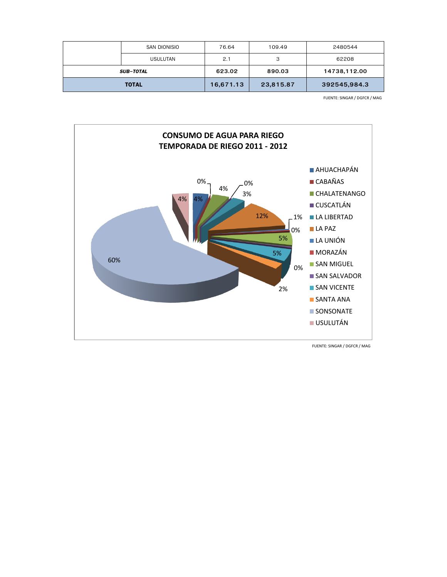|                  | SAN DIONISIO    | 76.64     | 109.49    | 2480544      |
|------------------|-----------------|-----------|-----------|--------------|
|                  | <b>USULUTAN</b> | 2.1       | 3         | 62208        |
| <b>SUB-TOTAL</b> |                 | 623.02    | 890.03    | 14738,112.00 |
| <b>TOTAL</b>     |                 | 16,671.13 | 23,815.87 | 392545,984.3 |

FUENTE: SINGAR / DGFCR / MAG



FUENTE: SINGAR / DGFCR / MAG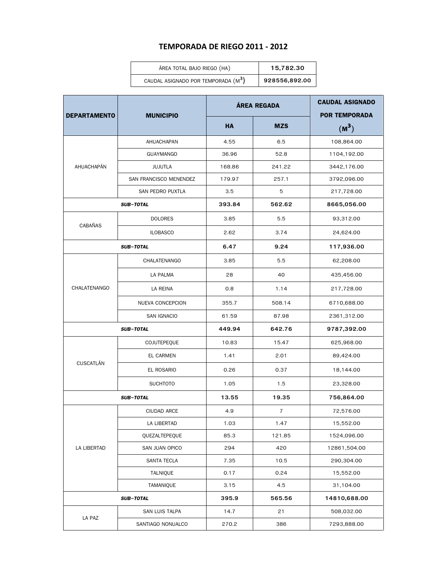## **TEMPORADA DE RIEGO 2011 - 2012**

| ÁREA TOTAL BAJO RIEGO (HA)                      | 15,782.30     |
|-------------------------------------------------|---------------|
| CAUDAL ASIGNADO POR TEMPORADA (M <sup>3</sup> ) | 928556,892.00 |

| <b>DEPARTAMENTO</b> | <b>MUNICIPIO</b>        | ÁREA REGADA |                | <b>CAUDAL ASIGNADO</b><br><b>POR TEMPORADA</b> |
|---------------------|-------------------------|-------------|----------------|------------------------------------------------|
|                     |                         | <b>HA</b>   | <b>MZS</b>     | $(M^3)$                                        |
|                     | AHUACHAPAN              | 4.55        | 6.5            | 108,864.00                                     |
|                     | <b>GUAYMANGO</b>        | 36.96       | 52.8           | 1104,192.00                                    |
| AHUACHAPÁN          | <b>JUJUTLA</b>          | 168.86      | 241.22         | 3442,176.00                                    |
|                     | SAN FRANCISCO MENENDEZ  | 179.97      | 257.1          | 3792,096.00                                    |
|                     | SAN PEDRO PUXTLA        | 3.5         | 5              | 217,728.00                                     |
|                     | <b>SUB-TOTAL</b>        | 393.84      | 562.62         | 8665,056.00                                    |
| CABAÑAS             | <b>DOLORES</b>          | 3.85        | 5.5            | 93,312.00                                      |
|                     | <b>ILOBASCO</b>         | 2.62        | 3.74           | 24,624.00                                      |
|                     | <b>SUB-TOTAL</b>        | 6.47        | 9.24           | 117,936.00                                     |
|                     | CHALATENANGO            | 3.85        | 5.5            | 62,208.00                                      |
|                     | <b>LA PALMA</b>         | 28          | 40             | 435,456.00                                     |
| CHALATENANGO        | LA REINA                | 0.8         | 1.14           | 217,728.00                                     |
|                     | <b>NUEVA CONCEPCION</b> | 355.7       | 508.14         | 6710,688.00                                    |
|                     | SAN IGNACIO             | 61.59       | 87.98          | 2361,312.00                                    |
| <b>SUB-TOTAL</b>    |                         | 449.94      | 642.76         | 9787,392.00                                    |
|                     | COJUTEPEQUE             | 10.83       | 15.47          | 625,968.00                                     |
|                     | EL CARMEN               | 1.41        | 2.01           | 89,424.00                                      |
| <b>CUSCATLÁN</b>    | EL ROSARIO              | 0.26        | 0.37           | 18,144.00                                      |
|                     | <b>SUCHTOTO</b>         | 1.05        | 1.5            | 23,328.00                                      |
| <b>SUB-TOTAL</b>    |                         | 13.55       | 19.35          | 756,864.00                                     |
|                     | <b>CIUDAD ARCE</b>      | 4.9         | $\overline{7}$ | 72,576.00                                      |
|                     | LA LIBERTAD             | 1.03        | 1.47           | 15,552.00                                      |
|                     | QUEZALTEPEQUE           | 85.3        | 121.85         | 1524,096.00                                    |
| LA LIBERTAD         | SAN JUAN OPICO          | 294         | 420            | 12861,504.00                                   |
|                     | SANTA TECLA             | 7.35        | 10.5           | 290,304.00                                     |
|                     | <b>TALNIQUE</b>         | 0.17        | 0.24           | 15,552.00                                      |
|                     | TAMANIQUE               | 3.15        | 4.5            | 31,104.00                                      |
|                     | <b>SUB-TOTAL</b>        | 395.9       | 565.56         | 14810,688.00                                   |
|                     | SAN LUIS TALPA          | 14.7        | 21             | 508,032.00                                     |
| LA PAZ              | SANTIAGO NONUALCO       | 270.2       | 386            | 7293,888.00                                    |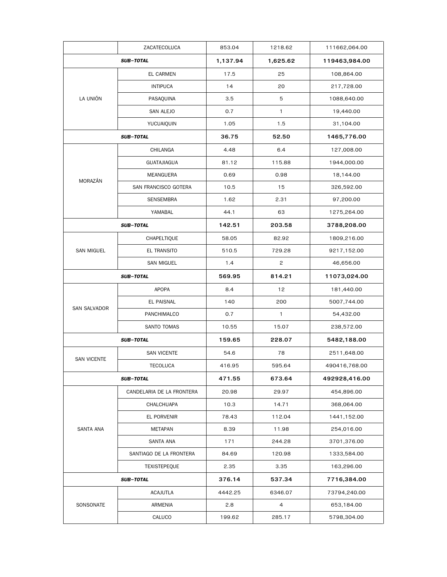|                    | ZACATECOLUCA              | 853.04   | 1218.62        | 111662,064.00 |
|--------------------|---------------------------|----------|----------------|---------------|
|                    | <b>SUB-TOTAL</b>          | 1,137.94 | 1,625.62       | 119463,984.00 |
|                    | EL CARMEN                 | 17.5     | 25             | 108,864.00    |
|                    | <b>INTIPUCA</b>           | 14       | 20             | 217,728.00    |
| LA UNIÓN           | PASAQUINA                 | 3.5      | 5              | 1088,640.00   |
|                    | SAN ALEJO                 | 0.7      | 1              | 19,440.00     |
|                    | YUCUAIQUIN                | 1.05     | 1.5            | 31,104.00     |
|                    | <b>SUB-TOTAL</b>          | 36.75    | 52.50          | 1465,776.00   |
|                    | CHILANGA                  | 4.48     | 6.4            | 127,008.00    |
|                    | <b>GUATAJIAGUA</b>        | 81.12    | 115.88         | 1944,000.00   |
| MORAZÁN            | MEANGUERA                 | 0.69     | 0.98           | 18,144.00     |
|                    | SAN FRANCISCO GOTERA      | 10.5     | 15             | 326,592.00    |
|                    | <b>SENSEMBRA</b>          | 1.62     | 2.31           | 97,200.00     |
|                    | YAMABAL                   | 44.1     | 63             | 1275,264.00   |
|                    | <b>SUB-TOTAL</b>          | 142.51   | 203.58         | 3788,208.00   |
|                    | CHAPELTIQUE               | 58.05    | 82.92          | 1809,216.00   |
| <b>SAN MIGUEL</b>  | <b>EL TRANSITO</b>        | 510.5    | 729.28         | 9217,152.00   |
|                    | <b>SAN MIGUEL</b>         | 1.4      | 2              | 46,656.00     |
|                    | <b>SUB-TOTAL</b>          | 569.95   | 814.21         | 11073,024.00  |
|                    | APOPA                     | 8.4      | 12             | 181,440.00    |
|                    | EL PAISNAL                | 140      | 200            | 5007,744.00   |
| SAN SALVADOR       | PANCHIMALCO               | 0.7      | $\mathbf{1}$   | 54,432.00     |
|                    | SANTO TOMAS               | 10.55    | 15.07          | 238,572.00    |
|                    | <b>SUB-TOTAL</b>          |          | 228.07         | 5482,188.00   |
| <b>SAN VICENTE</b> | <b>SAN VICENTE</b>        | 54.6     | 78             | 2511,648.00   |
|                    | <b>TECOLUCA</b>           | 416.95   | 595.64         | 490416,768.00 |
|                    | <b>SUB-TOTAL</b>          | 471.55   | 673.64         | 492928,416.00 |
|                    | CANDELARIA DE LA FRONTERA | 20.98    | 29.97          | 454,896.00    |
|                    | CHALCHUAPA                | 10.3     | 14.71          | 368,064.00    |
|                    | EL PORVENIR               | 78.43    | 112.04         | 1441,152.00   |
| <b>SANTA ANA</b>   | METAPAN                   | 8.39     | 11.98          | 254,016.00    |
|                    | SANTA ANA                 | 171      | 244.28         | 3701,376.00   |
|                    | SANTIAGO DE LA FRONTERA   | 84.69    | 120.98         | 1333,584.00   |
|                    | <b>TEXISTEPEQUE</b>       | 2.35     | 3.35           | 163,296.00    |
|                    | <b>SUB-TOTAL</b>          |          | 537.34         | 7716,384.00   |
|                    | <b>ACAJUTLA</b>           | 4442.25  | 6346.07        | 73794,240.00  |
| SONSONATE          | ARMENIA                   | 2.8      | $\overline{4}$ | 653,184.00    |
|                    | CALUCO                    | 199.62   | 285.17         | 5798,304.00   |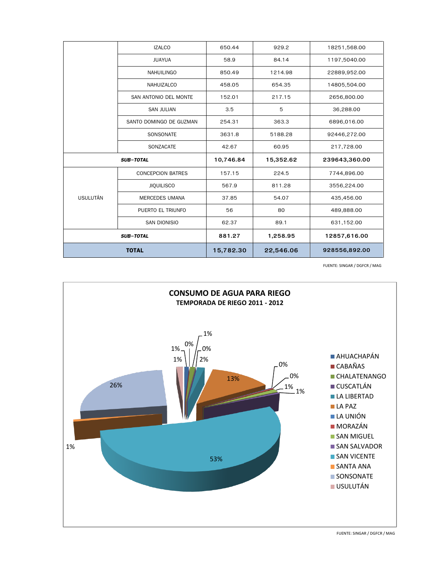|                  | <b>IZALCO</b>            | 650.44    | 929.2     | 18251,568.00  |
|------------------|--------------------------|-----------|-----------|---------------|
|                  | <b>JUAYUA</b>            | 58.9      | 84.14     | 1197,5040.00  |
|                  | <b>NAHUILINGO</b>        | 850.49    | 1214.98   | 22889,952.00  |
|                  | NAHUIZALCO               | 458.05    | 654.35    | 14805,504.00  |
|                  | SAN ANTONIO DEL MONTE    | 152.01    | 217.15    | 2656,800.00   |
|                  | <b>SAN JULIAN</b>        | 3.5       | 5         | 36,288.00     |
|                  | SANTO DOMINGO DE GUZMAN  | 254.31    | 363.3     | 6896,016.00   |
|                  | SONSONATE                | 3631.8    | 5188.28   | 92446,272.00  |
|                  | SONZACATE                | 42.67     | 60.95     | 217,728.00    |
| <b>SUB-TOTAL</b> |                          | 10,746.84 | 15,352.62 | 239643,360.00 |
|                  | <b>CONCEPCION BATRES</b> | 157.15    | 224.5     | 7744,896.00   |
|                  | <b>JIQUILISCO</b>        | 567.9     | 811.28    | 3556,224.00   |
| <b>USULUTÁN</b>  | <b>MERCEDES UMANA</b>    | 37.85     | 54.07     | 435,456.00    |
|                  | PUERTO EL TRIUNFO        | 56        | 80        | 489,888.00    |
|                  | SAN DIONISIO             | 62.37     | 89.1      | 631,152.00    |
|                  | <b>SUB-TOTAL</b>         | 881.27    | 1,258.95  | 12857,616.00  |
| <b>TOTAL</b>     |                          | 15,782.30 | 22,546.06 | 928556,892.00 |

FUENTE: SINGAR / DGFCR / MAG



FUENTE: SINGAR / DGFCR / MAG